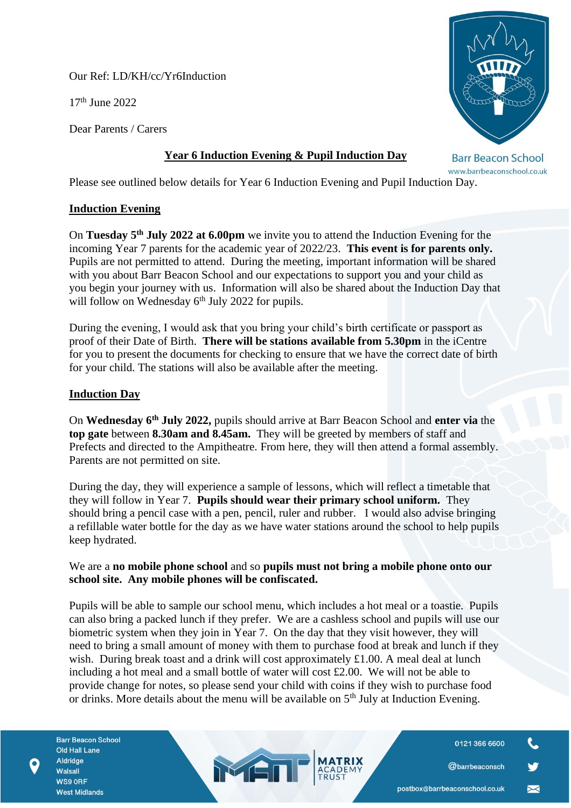Our Ref: LD/KH/cc/Yr6Induction

17th June 2022

Dear Parents / Carers



# **Year 6 Induction Evening & Pupil Induction Day**

**Barr Beacon School** www.barrbeaconschool.co.uk

Please see outlined below details for Year 6 Induction Evening and Pupil Induction Day.

## **Induction Evening**

On **Tuesday 5th July 2022 at 6.00pm** we invite you to attend the Induction Evening for the incoming Year 7 parents for the academic year of 2022/23. **This event is for parents only.**  Pupils are not permitted to attend. During the meeting, important information will be shared with you about Barr Beacon School and our expectations to support you and your child as you begin your journey with us. Information will also be shared about the Induction Day that will follow on Wednesday  $6<sup>th</sup>$  July 2022 for pupils.

During the evening, I would ask that you bring your child's birth certificate or passport as proof of their Date of Birth. **There will be stations available from 5.30pm** in the iCentre for you to present the documents for checking to ensure that we have the correct date of birth for your child. The stations will also be available after the meeting.

## **Induction Day**

On **Wednesday 6th July 2022,** pupils should arrive at Barr Beacon School and **enter via** the **top gate** between **8.30am and 8.45am.** They will be greeted by members of staff and Prefects and directed to the Ampitheatre. From here, they will then attend a formal assembly. Parents are not permitted on site.

During the day, they will experience a sample of lessons, which will reflect a timetable that they will follow in Year 7. **Pupils should wear their primary school uniform.** They should bring a pencil case with a pen, pencil, ruler and rubber. I would also advise bringing a refillable water bottle for the day as we have water stations around the school to help pupils keep hydrated.

#### We are a **no mobile phone school** and so **pupils must not bring a mobile phone onto our school site. Any mobile phones will be confiscated.**

Pupils will be able to sample our school menu, which includes a hot meal or a toastie. Pupils can also bring a packed lunch if they prefer. We are a cashless school and pupils will use our biometric system when they join in Year 7. On the day that they visit however, they will need to bring a small amount of money with them to purchase food at break and lunch if they wish. During break toast and a drink will cost approximately £1.00. A meal deal at lunch including a hot meal and a small bottle of water will cost £2.00. We will not be able to provide change for notes, so please send your child with coins if they wish to purchase food or drinks. More details about the menu will be available on  $5<sup>th</sup>$  July at Induction Evening.

MEN

0121 366 6600

@barrbeaconsch